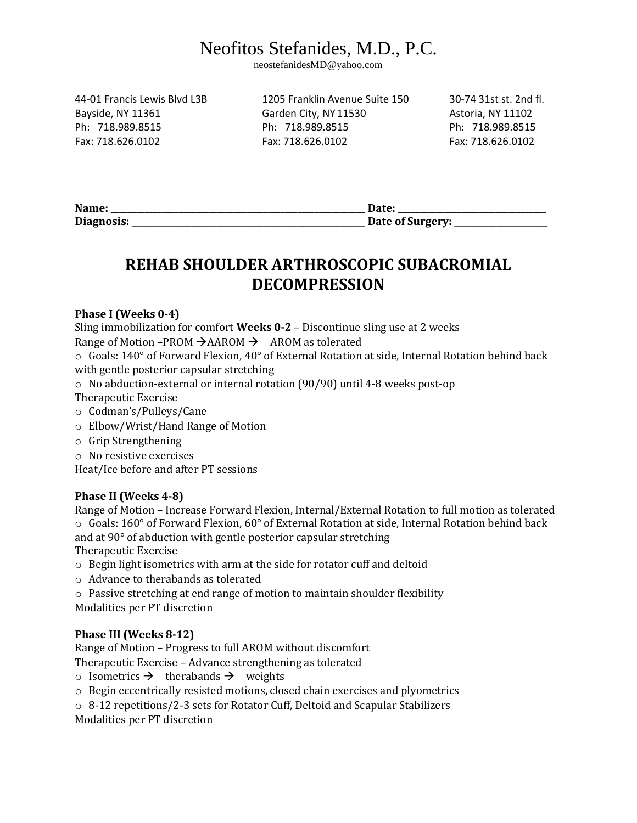# Neofitos Stefanides, M.D., P.C.

neostefanidesMD@yahoo.com

44-01 Francis Lewis Blvd L3B 1205 Franklin Avenue Suite 150 30-74 31st st. 2nd fl.

Bayside, NY 11361 Garden City, NY 11530 Astoria, NY 11102 Ph: 718.989.8515 Ph: 718.989.8515 Ph: 718.989.8515 Fax: 718.626.0102 Fax: 718.626.0102 Fax: 718.626.0102

| Name:      |                  |
|------------|------------------|
| Diagnosis: | Date of Surgery: |

### **REHAB SHOULDER ARTHROSCOPIC SUBACROMIAL DECOMPRESSION**

#### **Phase I (Weeks 0-4)**

Sling immobilization for comfort **Weeks 0-2** – Discontinue sling use at 2 weeks

Range of Motion –PROM  $\rightarrow$  AAROM  $\rightarrow$  AROM as tolerated

 $\circ$  Goals: 140° of Forward Flexion, 40° of External Rotation at side, Internal Rotation behind back with gentle posterior capsular stretching

- o No abduction-external or internal rotation (90/90) until 4-8 weeks post-op
- Therapeutic Exercise
- o Codman's/Pulleys/Cane
- o Elbow/Wrist/Hand Range of Motion
- o Grip Strengthening
- o No resistive exercises

Heat/Ice before and after PT sessions

#### **Phase II (Weeks 4-8)**

Range of Motion – Increase Forward Flexion, Internal/External Rotation to full motion as tolerated  $\circ$  Goals: 160° of Forward Flexion, 60° of External Rotation at side, Internal Rotation behind back and at 90° of abduction with gentle posterior capsular stretching Therapeutic Exercise

o Begin light isometrics with arm at the side for rotator cuff and deltoid

o Advance to therabands as tolerated

o Passive stretching at end range of motion to maintain shoulder flexibility Modalities per PT discretion

#### **Phase III (Weeks 8-12)**

Range of Motion – Progress to full AROM without discomfort

Therapeutic Exercise – Advance strengthening as tolerated

- $\circ$  Isometrics  $\rightarrow$  therabands  $\rightarrow$  weights
- o Begin eccentrically resisted motions, closed chain exercises and plyometrics
- $\circ$  8-12 repetitions/2-3 sets for Rotator Cuff, Deltoid and Scapular Stabilizers

Modalities per PT discretion